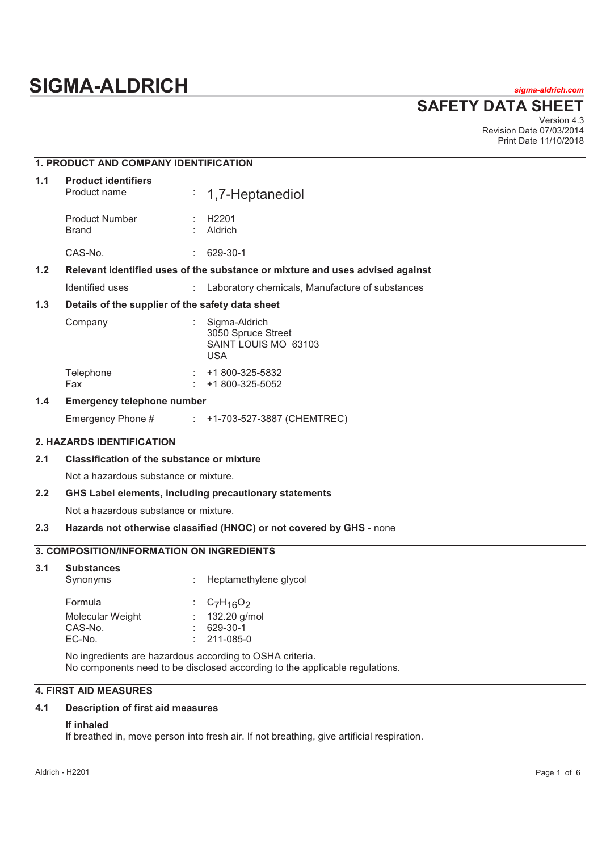# **SIGMA-ALDRICH** *sigma-aldrich.com*

**SAFETY DATA SHEET**

Version 4.3 Revision Date 07/03/2014 Print Date 11/10/2018

|                                                                                        | 1. PRODUCT AND COMPANY IDENTIFICATION                  |                                                                                                                                                                                                    |  |  |  |  |
|----------------------------------------------------------------------------------------|--------------------------------------------------------|----------------------------------------------------------------------------------------------------------------------------------------------------------------------------------------------------|--|--|--|--|
| 1.1                                                                                    | <b>Product identifiers</b><br>Product name             | ÷,<br>1,7-Heptanediol                                                                                                                                                                              |  |  |  |  |
|                                                                                        | Product Number<br><b>Brand</b>                         | H <sub>2201</sub><br>Aldrich                                                                                                                                                                       |  |  |  |  |
|                                                                                        | CAS-No.                                                | 629-30-1                                                                                                                                                                                           |  |  |  |  |
| $1.2$<br>Relevant identified uses of the substance or mixture and uses advised against |                                                        |                                                                                                                                                                                                    |  |  |  |  |
| Identified uses<br>Laboratory chemicals, Manufacture of substances                     |                                                        |                                                                                                                                                                                                    |  |  |  |  |
| 1.3                                                                                    | Details of the supplier of the safety data sheet       |                                                                                                                                                                                                    |  |  |  |  |
|                                                                                        | Company                                                | Sigma-Aldrich<br>3050 Spruce Street<br>SAINT LOUIS MO 63103<br><b>USA</b>                                                                                                                          |  |  |  |  |
|                                                                                        | Telephone<br>Fax                                       | +1 800-325-5832<br>+1 800-325-5052                                                                                                                                                                 |  |  |  |  |
| 1.4                                                                                    | <b>Emergency telephone number</b>                      |                                                                                                                                                                                                    |  |  |  |  |
|                                                                                        | Emergency Phone #                                      | +1-703-527-3887 (CHEMTREC)                                                                                                                                                                         |  |  |  |  |
|                                                                                        | 2. HAZARDS IDENTIFICATION                              |                                                                                                                                                                                                    |  |  |  |  |
| 2.1                                                                                    | <b>Classification of the substance or mixture</b>      |                                                                                                                                                                                                    |  |  |  |  |
|                                                                                        | Not a hazardous substance or mixture.                  |                                                                                                                                                                                                    |  |  |  |  |
| 2.2                                                                                    | GHS Label elements, including precautionary statements |                                                                                                                                                                                                    |  |  |  |  |
|                                                                                        | Not a hazardous substance or mixture.                  |                                                                                                                                                                                                    |  |  |  |  |
| 2.3                                                                                    |                                                        | Hazards not otherwise classified (HNOC) or not covered by GHS - none                                                                                                                               |  |  |  |  |
|                                                                                        | 3. COMPOSITION/INFORMATION ON INGREDIENTS              |                                                                                                                                                                                                    |  |  |  |  |
| 3.1                                                                                    | <b>Substances</b><br>Synonyms                          | Heptamethylene glycol                                                                                                                                                                              |  |  |  |  |
|                                                                                        | Formula<br>Molecular Weight<br>CAS-No.<br>EC-No.       | $C_7H_{16}O_2$<br>132.20 g/mol<br>629-30-1<br>211-085-0<br>No ingredients are hazardous according to OSHA criteria.<br>No components need to be disclosed according to the applicable regulations. |  |  |  |  |
|                                                                                        |                                                        |                                                                                                                                                                                                    |  |  |  |  |

## **4. FIRST AID MEASURES**

## **4.1 Description of first aid measures**

## **If inhaled**

If breathed in, move person into fresh air. If not breathing, give artificial respiration.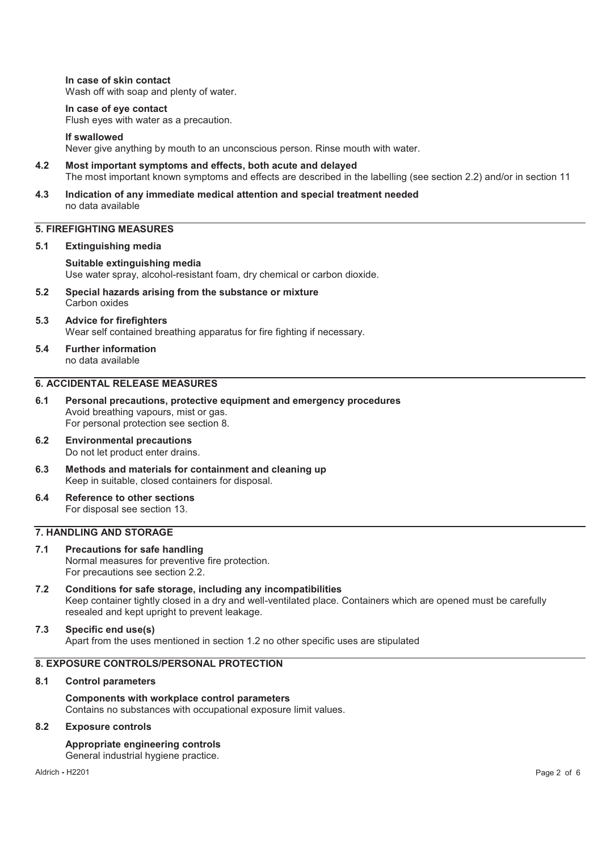**In case of skin contact**  Wash off with soap and plenty of water.

#### **In case of eye contact**

Flush eyes with water as a precaution.

#### **If swallowed**

Never give anything by mouth to an unconscious person. Rinse mouth with water.

- **4.2 Most important symptoms and effects, both acute and delayed**  The most important known symptoms and effects are described in the labelling (see section 2.2) and/or in section 11
- **4.3 Indication of any immediate medical attention and special treatment needed**  no data available

## **5. FIREFIGHTING MEASURES**

#### **5.1 Extinguishing media**

**Suitable extinguishing media**  Use water spray, alcohol-resistant foam, dry chemical or carbon dioxide.

- **5.2 Special hazards arising from the substance or mixture**  Carbon oxides
- **5.3 Advice for firefighters**  Wear self contained breathing apparatus for fire fighting if necessary.
- **5.4 Further information**  no data available

## **6. ACCIDENTAL RELEASE MEASURES**

- **6.1 Personal precautions, protective equipment and emergency procedures**  Avoid breathing vapours, mist or gas. For personal protection see section 8.
- **6.2 Environmental precautions**  Do not let product enter drains.
- **6.3 Methods and materials for containment and cleaning up**  Keep in suitable, closed containers for disposal.
- **6.4 Reference to other sections**  For disposal see section 13.

## **7. HANDLING AND STORAGE**

- **7.1 Precautions for safe handling**  Normal measures for preventive fire protection. For precautions see section 2.2.
- **7.2 Conditions for safe storage, including any incompatibilities**  Keep container tightly closed in a dry and well-ventilated place. Containers which are opened must be carefully resealed and kept upright to prevent leakage.

#### **7.3 Specific end use(s)**  Apart from the uses mentioned in section 1.2 no other specific uses are stipulated

## **8. EXPOSURE CONTROLS/PERSONAL PROTECTION**

#### **8.1 Control parameters**

**Components with workplace control parameters**  Contains no substances with occupational exposure limit values.

#### **8.2 Exposure controls**

**Appropriate engineering controls**  General industrial hygiene practice.

Aldrich **-** H2201 Page 2 of 6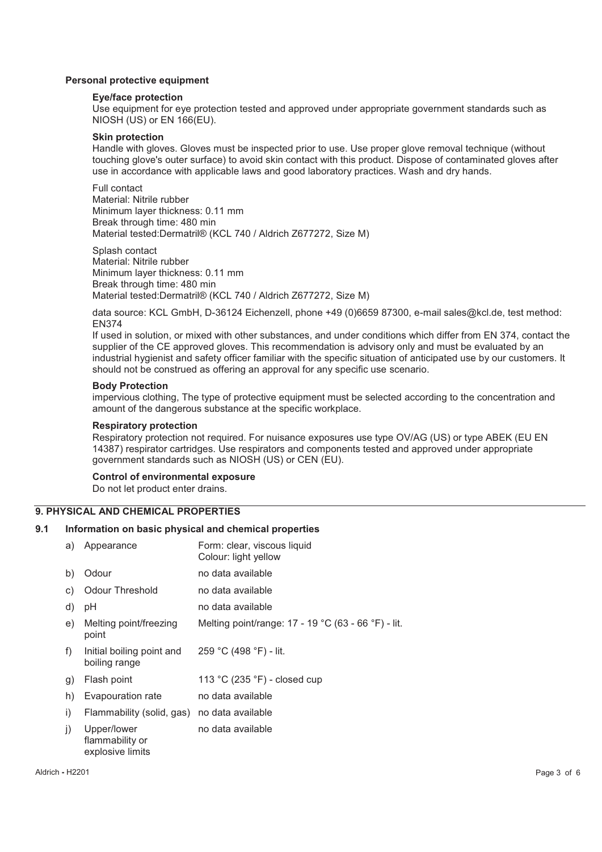## **Personal protective equipment**

#### **Eye/face protection**

Use equipment for eye protection tested and approved under appropriate government standards such as NIOSH (US) or EN 166(EU).

#### **Skin protection**

Handle with gloves. Gloves must be inspected prior to use. Use proper glove removal technique (without touching glove's outer surface) to avoid skin contact with this product. Dispose of contaminated gloves after use in accordance with applicable laws and good laboratory practices. Wash and dry hands.

Full contact Material: Nitrile rubber Minimum layer thickness: 0.11 mm Break through time: 480 min Material tested:Dermatril® (KCL 740 / Aldrich Z677272, Size M)

Splash contact Material: Nitrile rubber Minimum layer thickness: 0.11 mm Break through time: 480 min Material tested:Dermatril® (KCL 740 / Aldrich Z677272, Size M)

data source: KCL GmbH, D-36124 Eichenzell, phone +49 (0)6659 87300, e-mail sales@kcl.de, test method: EN374

If used in solution, or mixed with other substances, and under conditions which differ from EN 374, contact the supplier of the CE approved gloves. This recommendation is advisory only and must be evaluated by an industrial hygienist and safety officer familiar with the specific situation of anticipated use by our customers. It should not be construed as offering an approval for any specific use scenario.

#### **Body Protection**

impervious clothing, The type of protective equipment must be selected according to the concentration and amount of the dangerous substance at the specific workplace.

#### **Respiratory protection**

Respiratory protection not required. For nuisance exposures use type OV/AG (US) or type ABEK (EU EN 14387) respirator cartridges. Use respirators and components tested and approved under appropriate government standards such as NIOSH (US) or CEN (EU).

#### **Control of environmental exposure**

Do not let product enter drains.

#### **9. PHYSICAL AND CHEMICAL PROPERTIES**

#### **9.1 Information on basic physical and chemical properties**

| a) | Appearance                                         | Form: clear, viscous liquid<br>Colour: light yellow |
|----|----------------------------------------------------|-----------------------------------------------------|
| b) | Odour                                              | no data available                                   |
| C) | <b>Odour Threshold</b>                             | no data available                                   |
| d) | рH                                                 | no data available                                   |
| e) | Melting point/freezing<br>point                    | Melting point/range: 17 - 19 °C (63 - 66 °F) - lit. |
| f) | Initial boiling point and<br>boiling range         | 259 °C (498 °F) - lit.                              |
| g) | Flash point                                        | 113 °C (235 °F) - closed cup                        |
| h) | Evapouration rate                                  | no data available                                   |
| i) | Flammability (solid, gas) no data available        |                                                     |
| j) | Upper/lower<br>flammability or<br>explosive limits | no data available                                   |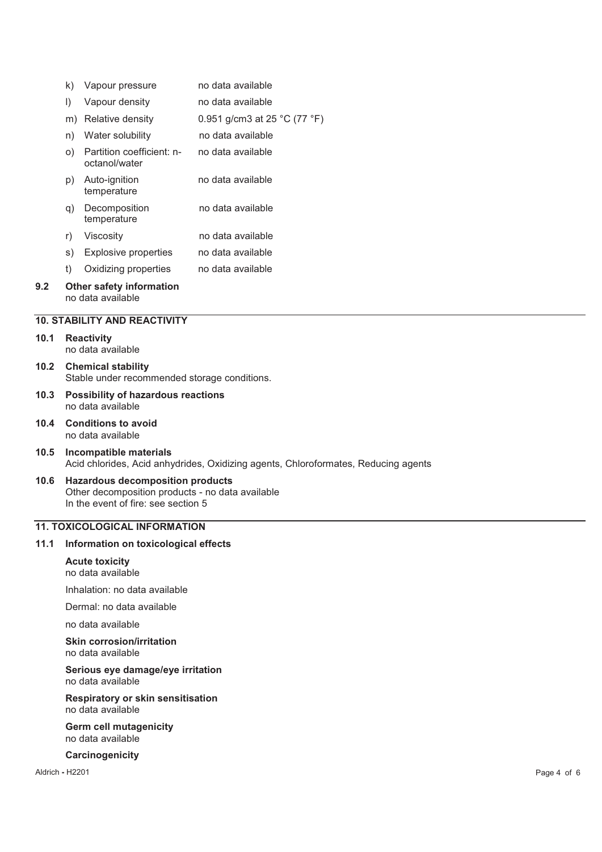|     | k)      | Vapour pressure                                      | no data available            |
|-----|---------|------------------------------------------------------|------------------------------|
|     | $\vert$ | Vapour density                                       | no data available            |
|     | m)      | Relative density                                     | 0.951 g/cm3 at 25 °C (77 °F) |
|     | n)      | Water solubility                                     | no data available            |
|     | O)      | Partition coefficient: n-<br>octanol/water           | no data available            |
|     | p)      | Auto-ignition<br>temperature                         | no data available            |
|     | q)      | Decomposition<br>temperature                         | no data available            |
|     | r)      | Viscosity                                            | no data available            |
|     | s)      | Explosive properties                                 | no data available            |
|     | t)      | Oxidizing properties                                 | no data available            |
| 9.2 |         | <b>Other safety information</b><br>no data available |                              |

#### **10. STABILITY AND REACTIVITY**

#### **10.1 Reactivity**  no data available

- **10.2 Chemical stability**  Stable under recommended storage conditions.
- **10.3 Possibility of hazardous reactions**  no data available
- **10.4 Conditions to avoid**  no data available
- **10.5 Incompatible materials**  Acid chlorides, Acid anhydrides, Oxidizing agents, Chloroformates, Reducing agents
- **10.6 Hazardous decomposition products**  Other decomposition products - no data available In the event of fire: see section 5

## **11. TOXICOLOGICAL INFORMATION**

## **11.1 Information on toxicological effects**

#### **Acute toxicity**  no data available

Inhalation: no data available

Dermal: no data available

no data available

#### **Skin corrosion/irritation**  no data available

**Serious eye damage/eye irritation**  no data available

**Respiratory or skin sensitisation**  no data available

## **Germ cell mutagenicity**  no data available

#### **Carcinogenicity**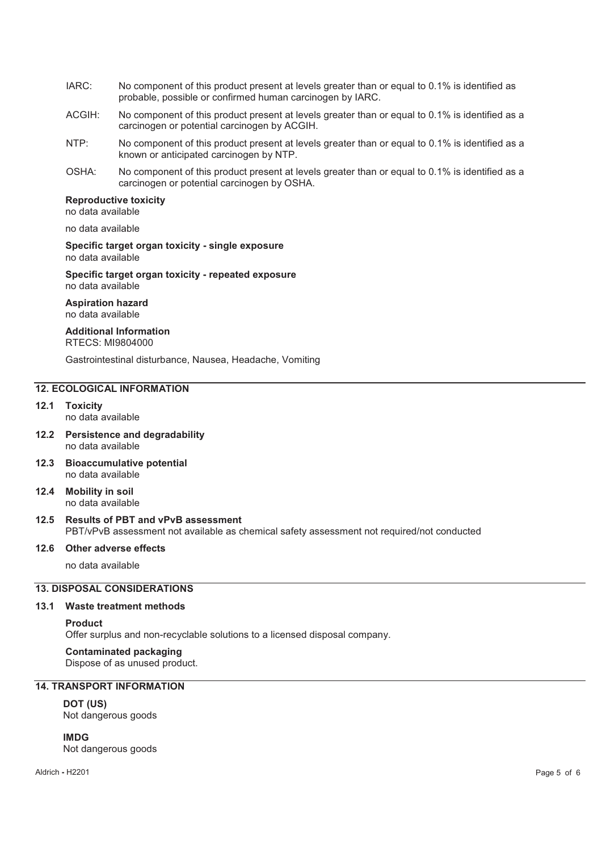- IARC: No component of this product present at levels greater than or equal to 0.1% is identified as probable, possible or confirmed human carcinogen by IARC.
- ACGIH: No component of this product present at levels greater than or equal to 0.1% is identified as a carcinogen or potential carcinogen by ACGIH.
- NTP: No component of this product present at levels greater than or equal to 0.1% is identified as a known or anticipated carcinogen by NTP.
- OSHA: No component of this product present at levels greater than or equal to 0.1% is identified as a carcinogen or potential carcinogen by OSHA.

#### **Reproductive toxicity**

no data available

no data available

#### **Specific target organ toxicity - single exposure**  no data available

**Specific target organ toxicity - repeated exposure**  no data available

**Aspiration hazard**  no data available

# **Additional Information**

RTECS: MI9804000

Gastrointestinal disturbance, Nausea, Headache, Vomiting

## **12. ECOLOGICAL INFORMATION**

- **12.1 Toxicity**  no data available
- **12.2 Persistence and degradability**  no data available
- **12.3 Bioaccumulative potential**  no data available
- **12.4 Mobility in soil**  no data available
- **12.5 Results of PBT and vPvB assessment**  PBT/vPvB assessment not available as chemical safety assessment not required/not conducted

## **12.6 Other adverse effects**

no data available

## **13. DISPOSAL CONSIDERATIONS**

#### **13.1 Waste treatment methods**

## **Product**

Offer surplus and non-recyclable solutions to a licensed disposal company.

**Contaminated packaging** Dispose of as unused product.

## **14. TRANSPORT INFORMATION**

# **DOT (US)**

Not dangerous goods

## **IMDG**

Not dangerous goods